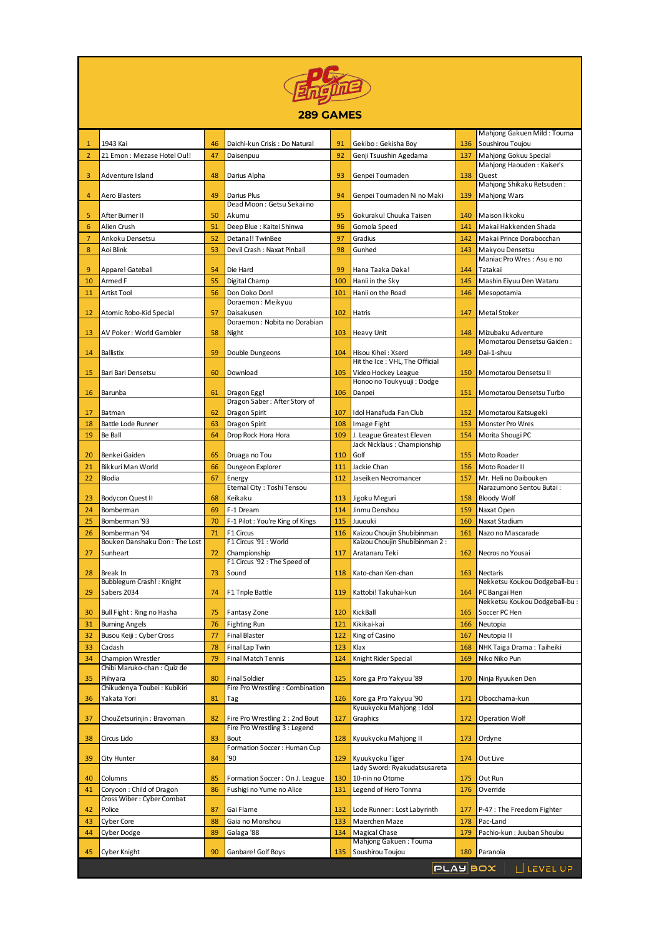

## **289 GAMES**

|                |                                                 |    |                                            |     |                                                             |     | Mahjong Gakuen Mild: Touma         |
|----------------|-------------------------------------------------|----|--------------------------------------------|-----|-------------------------------------------------------------|-----|------------------------------------|
| 1              | 1943 Kai                                        | 46 | Daichi-kun Crisis : Do Natural             | 91  | Gekibo: Gekisha Boy                                         | 136 | Soushirou Toujou                   |
| $\overline{2}$ | 21 Emon: Mezase Hotel Ou!!                      | 47 | Daisenpuu                                  | 92  | Genji Tsuushin Agedama                                      | 137 | Mahjong Gokuu Special              |
|                |                                                 |    |                                            |     |                                                             |     | Mahjong Haouden: Kaiser's          |
| 3              | Adventure Island                                | 48 | Darius Alpha                               | 93  | Genpei Toumaden                                             | 138 | Quest<br>Mahjong Shikaku Retsuden: |
| 4              | Aero Blasters                                   | 49 | Darius Plus                                | 94  | Genpei Toumaden Ni no Maki                                  | 139 | Mahjong Wars                       |
|                |                                                 |    | Dead Moon: Getsu Sekai no                  |     |                                                             |     |                                    |
| 5              | After Burner II                                 | 50 | Akumu                                      | 95  | Gokuraku! Chuuka Taisen                                     | 140 | Maison Ikkoku                      |
| 6              | Alien Crush                                     | 51 | Deep Blue : Kaitei Shinwa                  | 96  | Gomola Speed                                                | 141 | Makai Hakkenden Shada              |
| 7              | Ankoku Densetsu                                 | 52 | Detana!! TwinBee                           | 97  | Gradius                                                     | 142 | Makai Prince Dorabocchan           |
| 8              | Aoi Blink                                       | 53 | Devil Crash: Naxat Pinball                 | 98  | Gunhed                                                      | 143 | Makyou Densetsu                    |
|                |                                                 |    |                                            |     |                                                             |     | Maniac Pro Wres: Asu e no          |
| 9              | Appare! Gateball                                | 54 | Die Hard                                   | 99  | Hana Taaka Daka!                                            | 144 | Tatakai                            |
| 10             | Armed F                                         | 55 | Digital Champ                              | 100 | Hanii in the Sky                                            | 145 | Mashin Eiyuu Den Wataru            |
| 11             | Artist Tool                                     | 56 | Don Doko Don!                              | 101 | Hanii on the Road                                           | 146 | Mesopotamia                        |
|                |                                                 | 57 | Doraemon: Meikyuu                          | 102 |                                                             |     |                                    |
| 12             | Atomic Robo-Kid Special                         |    | Daisakusen<br>Doraemon: Nobita no Dorabian |     | Hatris                                                      | 147 | Metal Stoker                       |
| 13             | AV Poker: World Gambler                         | 58 | Night                                      | 103 | Heavy Unit                                                  | 148 | Mizubaku Adventure                 |
|                |                                                 |    |                                            |     |                                                             |     | Momotarou Densetsu Gaiden:         |
| 14             | Ballistix                                       | 59 | Double Dungeons                            | 104 | Hisou Kihei: Xserd                                          | 149 | Dai-1-shuu                         |
|                |                                                 |    |                                            |     | Hit the Ice: VHL. The Official                              |     |                                    |
| 15             | Bari Bari Densetsu                              | 60 | Download                                   | 105 | Video Hockey League<br>Honoo no Toukyuuji: Dodge            | 150 | Momotarou Densetsu II              |
| 16             | Barunba                                         | 61 | Dragon Egg!                                | 106 | Danpei                                                      | 151 | Momotarou Densetsu Turbo           |
|                |                                                 |    | Dragon Saber: After Story of               |     |                                                             |     |                                    |
| 17             | Batman                                          | 62 | Dragon Spirit                              | 107 | Idol Hanafuda Fan Club                                      | 152 | Momotarou Katsugeki                |
| 18             | Battle Lode Runner                              | 63 | Dragon Spirit                              | 108 | Image Fight                                                 | 153 | Monster Pro Wres                   |
| 19             | Be Ball                                         | 64 | Drop Rock Hora Hora                        | 109 | J. League Greatest Eleven                                   | 154 | Morita Shougi PC                   |
|                |                                                 |    |                                            |     | Jack Nicklaus : Championship                                |     |                                    |
| 20             | Benkei Gaiden                                   | 65 | Druaga no Tou                              | 110 | Golf                                                        | 155 | Moto Roader                        |
| 21             | Bikkuri Man World                               | 66 | Dungeon Explorer                           | 111 | Jackie Chan                                                 | 156 | Moto Roader II                     |
| 22             | Blodia                                          | 67 | Energy                                     | 112 | Jaseiken Necromancer                                        | 157 | Mr. Heli no Daibouken              |
|                |                                                 |    | Eternal City: Toshi Tensou                 |     |                                                             |     | Narazumono Sentou Butai:           |
| 23             | Bodycon Quest II                                | 68 | Keikaku                                    | 113 | Jigoku Meguri                                               | 158 | <b>Bloody Wolf</b>                 |
| 24             | Bomberman                                       | 69 | F-1 Dream                                  | 114 | Jinmu Denshou                                               | 159 | Naxat Open                         |
| 25             | Bomberman '93                                   | 70 | F-1 Pilot: You're King of Kings            | 115 | Juuouki                                                     | 160 | Naxat Stadium                      |
| 26             | Bomberman '94<br>Bouken Danshaku Don: The Lost  | 71 | F1 Circus<br>F1 Circus '91 : World         | 116 | Kaizou Choujin Shubibinman<br>Kaizou Choujin Shubibinman 2: | 161 | Nazo no Mascarade                  |
| 27             | Sunheart                                        | 72 | Championship                               | 117 | Aratanaru Teki                                              | 162 | Necros no Yousai                   |
|                |                                                 |    | F1 Circus '92 : The Speed of               |     |                                                             |     |                                    |
| 28             | Break In                                        | 73 | Sound                                      | 118 | Kato-chan Ken-chan                                          | 163 | Nectaris                           |
|                | Bubblegum Crash! : Knight                       |    |                                            |     |                                                             |     | Nekketsu Koukou Dodgeball-bu :     |
| 29             | Sabers 2034                                     | 74 | F1 Triple Battle                           | 119 | Kattobi! Takuhai-kun                                        | 164 | PC Bangai Hen                      |
|                |                                                 |    |                                            |     |                                                             |     | Nekketsu Koukou Dodgeball-bu :     |
| 30             | Bull Fight : Ring no Hasha                      | 75 | <b>Fantasy Zone</b>                        |     | 120 Kick Ball                                               | 165 | Soccer PC Hen                      |
| 31             | <b>Burning Angels</b>                           |    | 76 Fighting Run                            |     | 121 Kikikai-kai                                             |     | 166 Neutopia                       |
| 32             | Busou Keiji : Cyber Cross                       | 77 | <b>Final Blaster</b>                       | 122 | King of Casino                                              | 167 | Neutopia II                        |
| 33             | Cadash                                          | 78 | Final Lap Twin                             | 123 | Klax                                                        | 168 | NHK Taiga Drama: Taiheiki          |
| 34             | Champion Wrestler<br>Chibi Maruko-chan: Quiz de | 79 | <b>Final Match Tennis</b>                  | 124 | Knight Rider Special                                        | 169 | Niko Niko Pun                      |
| 35             | Piihyara                                        | 80 | Final Soldier                              | 125 | Kore ga Pro Yakyuu '89                                      | 170 | Ninja Ryuuken Den                  |
|                | Chikudenya Toubei: Kubikiri                     |    | Fire Pro Wrestling : Combination           |     |                                                             |     |                                    |
| 36             | Yakata Yori                                     | 81 | Tag                                        | 126 | Kore ga Pro Yakyuu '90                                      | 171 | Obocchama-kun                      |
|                |                                                 |    |                                            |     | Kyuukyoku Mahjong: Idol                                     |     |                                    |
| 37             | ChouZetsurinjin : Bravoman                      | 82 | Fire Pro Wrestling 2 : 2nd Bout            | 127 | Graphics                                                    | 172 | Operation Wolf                     |
|                |                                                 |    | Fire Pro Wrestling 3 : Legend              |     |                                                             |     |                                    |
| 38             | Circus Lido                                     | 83 | Bout<br>Formation Soccer: Human Cup        | 128 | Kyuukyoku Mahjong II                                        | 173 | Ordyne                             |
| 39             | City Hunter                                     | 84 | '90                                        | 129 | Kyuukyoku Tiger                                             | 174 | Out Live                           |
|                |                                                 |    |                                            |     | Lady Sword: Ryakudatsusareta                                |     |                                    |
| 40             | Columns                                         | 85 | Formation Soccer: On J. League             | 130 | 10-nin no Otome                                             | 175 | Out Run                            |
| 41             | Coryoon: Child of Dragon                        | 86 | Fushigi no Yume no Alice                   | 131 | Legend of Hero Tonma                                        | 176 | Override                           |
|                | Cross Wiber: Cyber Combat                       |    |                                            |     |                                                             |     |                                    |
| 42             | Police                                          | 87 | Gai Flame                                  | 132 | Lode Runner: Lost Labyrinth                                 | 177 | P-47 : The Freedom Fighter         |
| 43             | Cyber Core                                      | 88 | Gaia no Monshou                            | 133 | Maerchen Maze                                               | 178 | Pac-Land                           |
|                |                                                 |    |                                            |     | Magical Chase                                               |     | Pachio-kun: Juuban Shoubu          |
| 44             | Cyber Dodge                                     | 89 | Galaga '88                                 | 134 |                                                             | 179 |                                    |
|                |                                                 |    |                                            |     | Mahjong Gakuen: Touma                                       |     |                                    |
| 45             | Cyber Knight                                    | 90 | Ganbare! Golf Boys                         | 135 | Soushirou Toujou<br><b>PLAYBOX</b>                          | 180 | Paranoia<br>L LEVEL UP             |